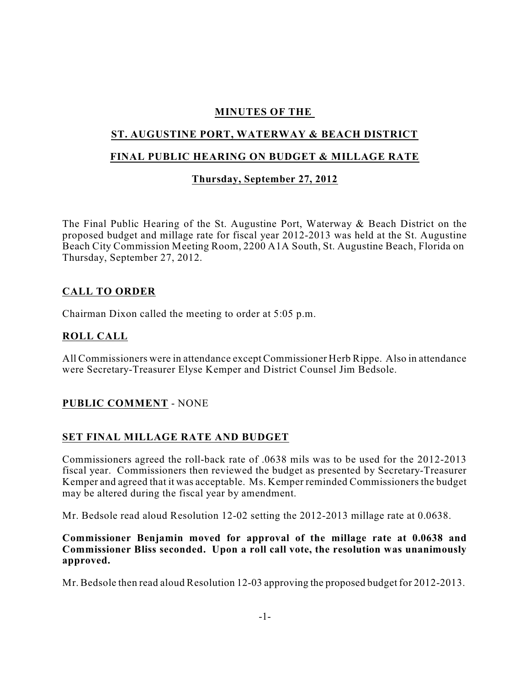## **MINUTES OF THE**

# **ST. AUGUSTINE PORT, WATERWAY & BEACH DISTRICT**

#### **FINAL PUBLIC HEARING ON BUDGET & MILLAGE RATE**

## **Thursday, September 27, 2012**

The Final Public Hearing of the St. Augustine Port, Waterway & Beach District on the proposed budget and millage rate for fiscal year 2012-2013 was held at the St. Augustine Beach City Commission Meeting Room, 2200 A1A South, St. Augustine Beach, Florida on Thursday, September 27, 2012.

#### **CALL TO ORDER**

Chairman Dixon called the meeting to order at 5:05 p.m.

## **ROLL CALL**

All Commissioners were in attendance except Commissioner Herb Rippe. Also in attendance were Secretary-Treasurer Elyse Kemper and District Counsel Jim Bedsole.

#### **PUBLIC COMMENT** - NONE

#### **SET FINAL MILLAGE RATE AND BUDGET**

Commissioners agreed the roll-back rate of .0638 mils was to be used for the 2012-2013 fiscal year. Commissioners then reviewed the budget as presented by Secretary-Treasurer Kemper and agreed that it was acceptable. Ms. Kemper reminded Commissioners the budget may be altered during the fiscal year by amendment.

Mr. Bedsole read aloud Resolution 12-02 setting the 2012-2013 millage rate at 0.0638.

#### **Commissioner Benjamin moved for approval of the millage rate at 0.0638 and Commissioner Bliss seconded. Upon a roll call vote, the resolution was unanimously approved.**

Mr. Bedsole then read aloud Resolution 12-03 approving the proposed budget for 2012-2013.